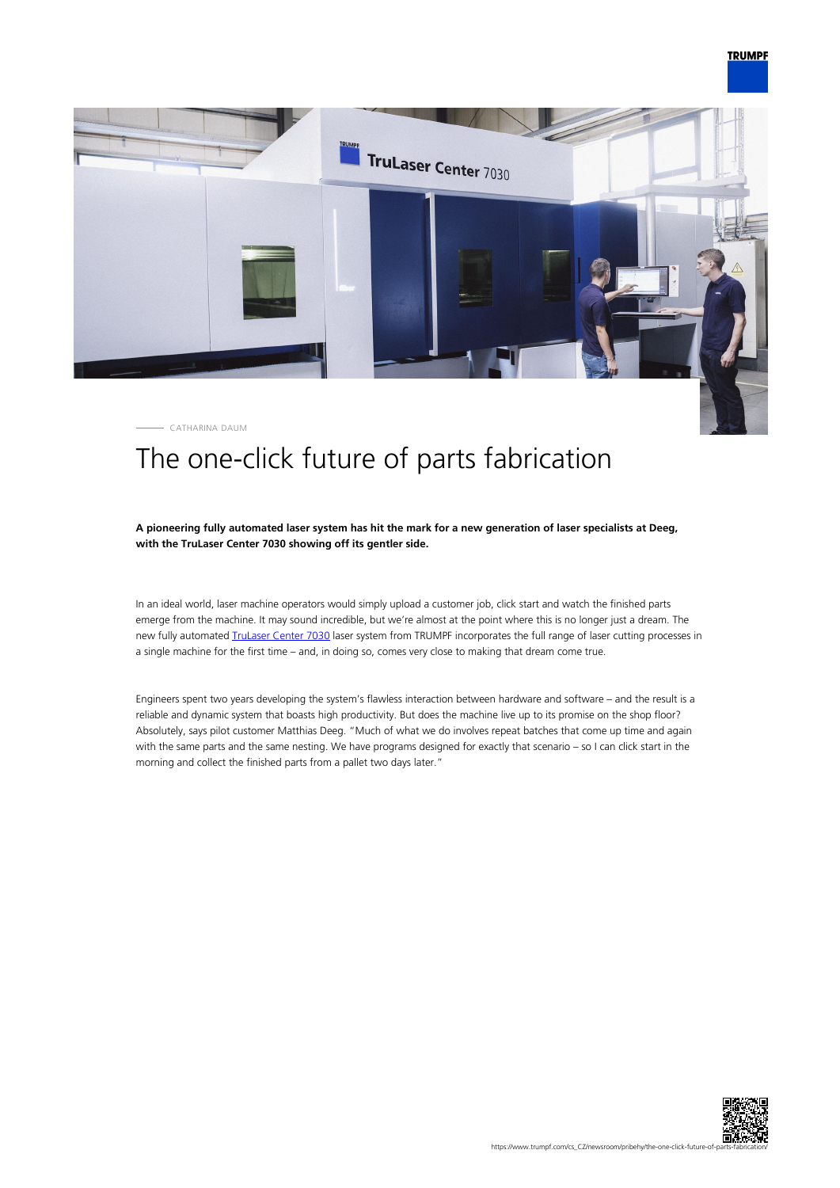

CATHARINA DAUM

# The one-click future of parts fabrication

## **A pioneering fully automated laser system has hit the mark for a new generation of laser specialists at Deeg, with the TruLaser Center 7030 showing off its gentler side.**

In an ideal world, laser machine operators would simply upload a customer job, click start and watch the finished parts emerge from the machine. It may sound incredible, but we're almost at the point where this is no longer just a dream. The new fully automated *IruLaser Center 7030* laser system from TRUMPF incorporates the full range of laser cutting processes in a single machine for the first time – and, in doing so, comes very close to making that dream come true.

Engineers spent two years developing the system's flawless interaction between hardware and software – and the result is a reliable and dynamic system that boasts high productivity. But does the machine live up to its promise on the shop floor? Absolutely, says pilot customer Matthias Deeg. "Much of what we do involves repeat batches that come up time and again with the same parts and the same nesting. We have programs designed for exactly that scenario – so I can click start in the morning and collect the finished parts from a pallet two days later."

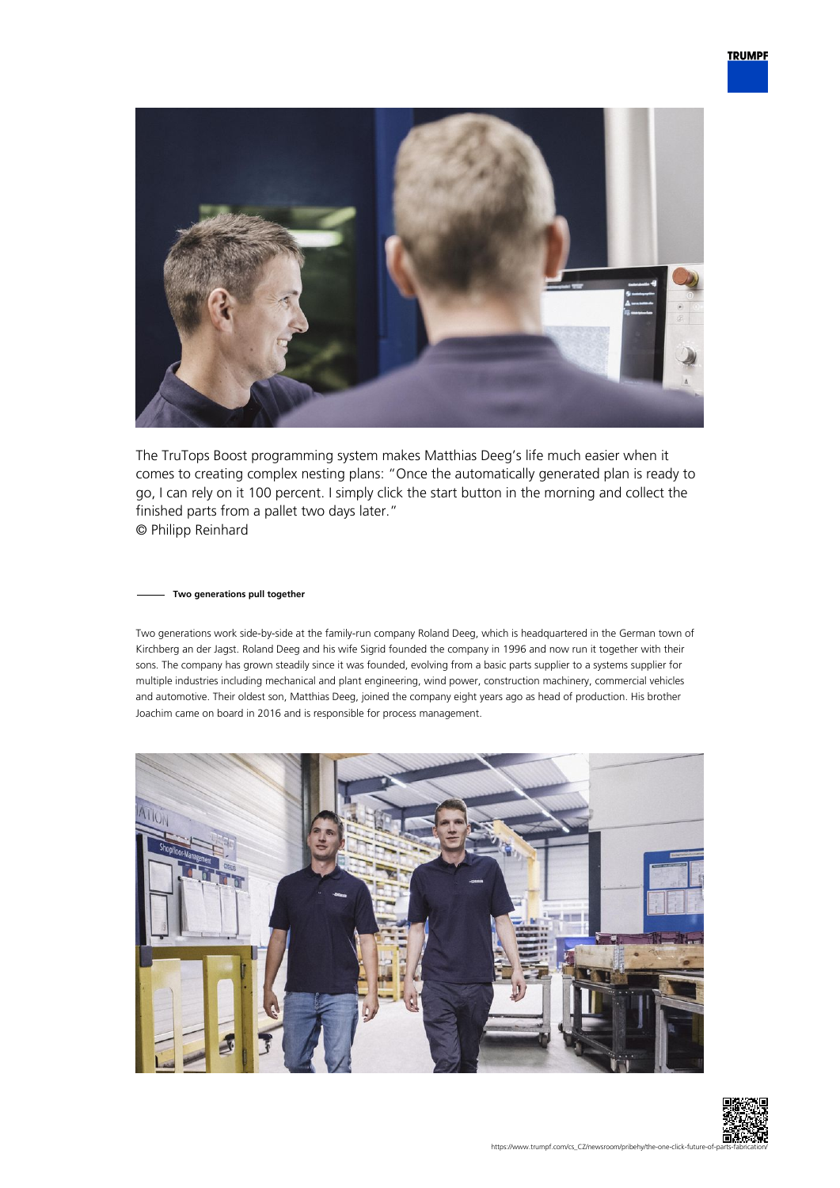

The TruTops Boost programming system makes Matthias Deeg's life much easier when it comes to creating complex nesting plans: "Once the automatically generated plan is ready to go, I can rely on it 100 percent. I simply click the start button in the morning and collect the finished parts from a pallet two days later." © Philipp Reinhard

## **Two generations pull together**

Two generations work side-by-side at the family-run company Roland Deeg, which is headquartered in the German town of Kirchberg an der Jagst. Roland Deeg and his wife Sigrid founded the company in 1996 and now run it together with their sons. The company has grown steadily since it was founded, evolving from a basic parts supplier to a systems supplier for multiple industries including mechanical and plant engineering, wind power, construction machinery, commercial vehicles and automotive. Their oldest son, Matthias Deeg, joined the company eight years ago as head of production. His brother Joachim came on board in 2016 and is responsible for process management.



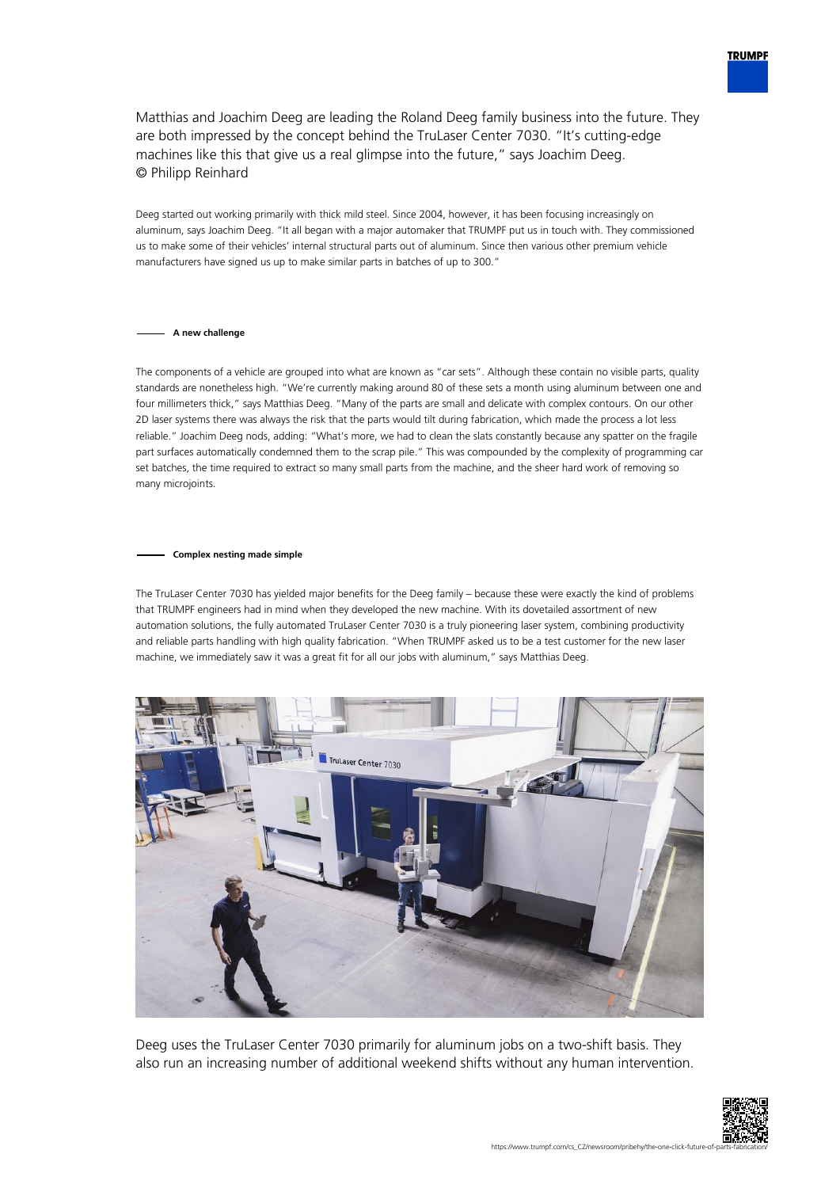

Matthias and Joachim Deeg are leading the Roland Deeg family business into the future. They are both impressed by the concept behind the TruLaser Center 7030. "It's cutting-edge machines like this that give us a real glimpse into the future," says Joachim Deeg. © Philipp Reinhard

Deeg started out working primarily with thick mild steel. Since 2004, however, it has been focusing increasingly on aluminum, says Joachim Deeg. "It all began with a major automaker that TRUMPF put us in touch with. They commissioned us to make some of their vehicles' internal structural parts out of aluminum. Since then various other premium vehicle manufacturers have signed us up to make similar parts in batches of up to 300."

## **A new challenge**

The components of a vehicle are grouped into what are known as "car sets". Although these contain no visible parts, quality standards are nonetheless high. "We're currently making around 80 of these sets a month using aluminum between one and four millimeters thick," says Matthias Deeg. "Many of the parts are small and delicate with complex contours. On our other 2D laser systems there was always the risk that the parts would tilt during fabrication, which made the process a lot less reliable." Joachim Deeg nods, adding: "What's more, we had to clean the slats constantly because any spatter on the fragile part surfaces automatically condemned them to the scrap pile." This was compounded by the complexity of programming car set batches, the time required to extract so many small parts from the machine, and the sheer hard work of removing so many microjoints.

#### **Complex nesting made simple**

The TruLaser Center 7030 has yielded major benefits for the Deeg family – because these were exactly the kind of problems that TRUMPF engineers had in mind when they developed the new machine. With its dovetailed assortment of new automation solutions, the fully automated TruLaser Center 7030 is a truly pioneering laser system, combining productivity and reliable parts handling with high quality fabrication. "When TRUMPF asked us to be a test customer for the new laser machine, we immediately saw it was a great fit for all our jobs with aluminum," says Matthias Deeg.



Deeg uses the TruLaser Center 7030 primarily for aluminum jobs on a two-shift basis. They also run an increasing number of additional weekend shifts without any human intervention.

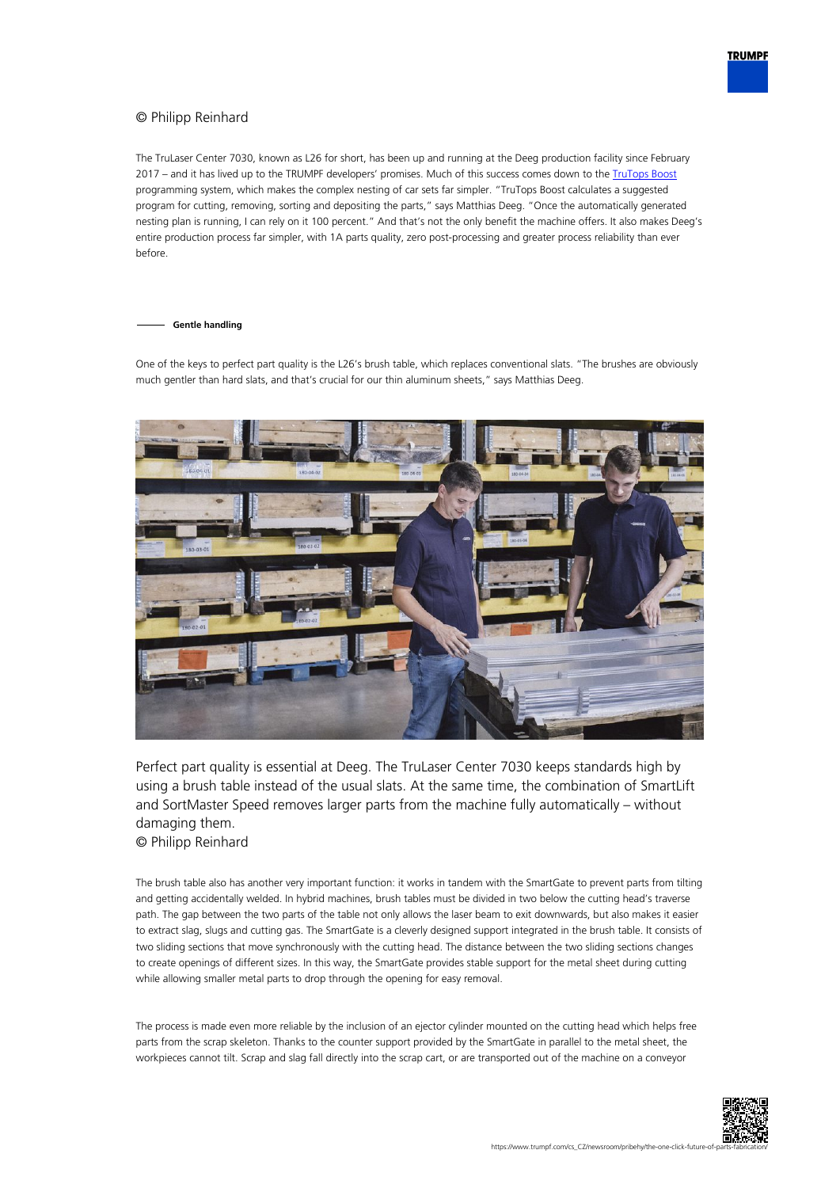# © Philipp Reinhard

The TruLaser Center 7030, known as L26 for short, has been up and running at the Deeg production facility since February 2017 – and it has lived up to the TRUMPF developers' promises. Much of this success comes down to the [TruTops Boost](https://www.trumpf.com/cs_CZ/produkty/software/programovaci-software/trutops-boost/) programming system, which makes the complex nesting of car sets far simpler. "TruTops Boost calculates a suggested program for cutting, removing, sorting and depositing the parts," says Matthias Deeg. "Once the automatically generated nesting plan is running, I can rely on it 100 percent." And that's not the only benefit the machine offers. It also makes Deeg's entire production process far simpler, with 1A parts quality, zero post-processing and greater process reliability than ever before.

### **Gentle handling**

One of the keys to perfect part quality is the L26's brush table, which replaces conventional slats. "The brushes are obviously much gentler than hard slats, and that's crucial for our thin aluminum sheets," says Matthias Deeg.



Perfect part quality is essential at Deeg. The TruLaser Center 7030 keeps standards high by using a brush table instead of the usual slats. At the same time, the combination of SmartLift and SortMaster Speed removes larger parts from the machine fully automatically – without damaging them.

© Philipp Reinhard

The brush table also has another very important function: it works in tandem with the SmartGate to prevent parts from tilting and getting accidentally welded. In hybrid machines, brush tables must be divided in two below the cutting head's traverse path. The gap between the two parts of the table not only allows the laser beam to exit downwards, but also makes it easier to extract slag, slugs and cutting gas. The SmartGate is a cleverly designed support integrated in the brush table. It consists of two sliding sections that move synchronously with the cutting head. The distance between the two sliding sections changes to create openings of different sizes. In this way, the SmartGate provides stable support for the metal sheet during cutting while allowing smaller metal parts to drop through the opening for easy removal.

The process is made even more reliable by the inclusion of an ejector cylinder mounted on the cutting head which helps free parts from the scrap skeleton. Thanks to the counter support provided by the SmartGate in parallel to the metal sheet, the workpieces cannot tilt. Scrap and slag fall directly into the scrap cart, or are transported out of the machine on a conveyor

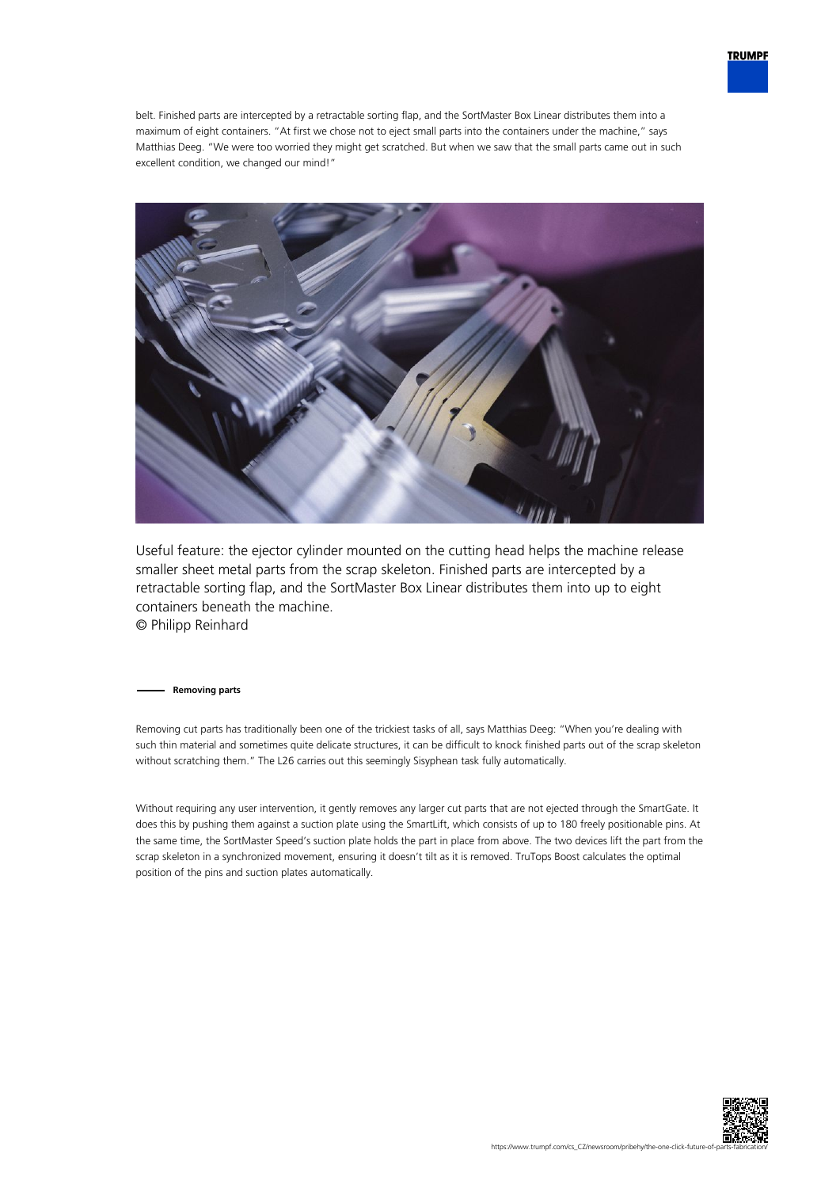

belt. Finished parts are intercepted by a retractable sorting flap, and the SortMaster Box Linear distributes them into a maximum of eight containers. "At first we chose not to eject small parts into the containers under the machine," says Matthias Deeg. "We were too worried they might get scratched. But when we saw that the small parts came out in such excellent condition, we changed our mind!"



Useful feature: the ejector cylinder mounted on the cutting head helps the machine release smaller sheet metal parts from the scrap skeleton. Finished parts are intercepted by a retractable sorting flap, and the SortMaster Box Linear distributes them into up to eight containers beneath the machine. © Philipp Reinhard

**Removing parts**

Removing cut parts has traditionally been one of the trickiest tasks of all, says Matthias Deeg: "When you're dealing with such thin material and sometimes quite delicate structures, it can be difficult to knock finished parts out of the scrap skeleton without scratching them." The L26 carries out this seemingly Sisyphean task fully automatically.

Without requiring any user intervention, it gently removes any larger cut parts that are not ejected through the SmartGate. It does this by pushing them against a suction plate using the SmartLift, which consists of up to 180 freely positionable pins. At the same time, the SortMaster Speed's suction plate holds the part in place from above. The two devices lift the part from the scrap skeleton in a synchronized movement, ensuring it doesn't tilt as it is removed. TruTops Boost calculates the optimal position of the pins and suction plates automatically.

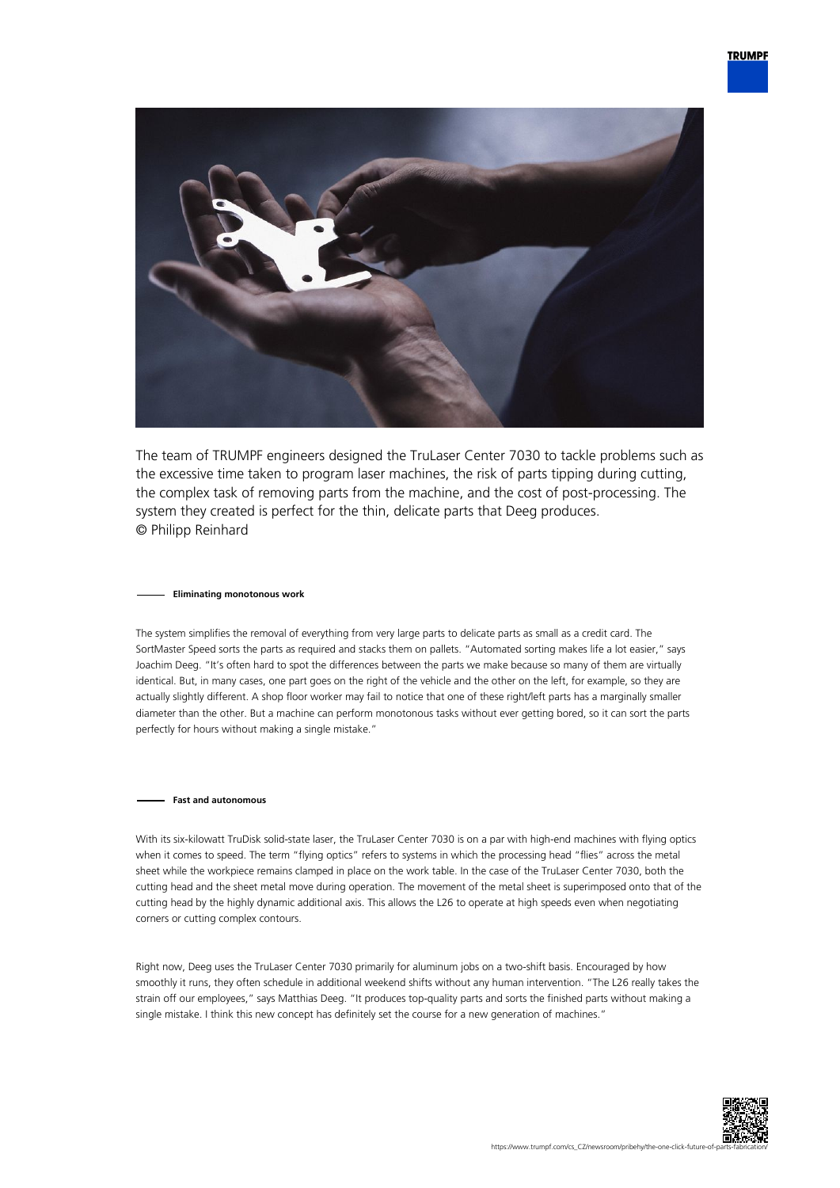

The team of TRUMPF engineers designed the TruLaser Center 7030 to tackle problems such as the excessive time taken to program laser machines, the risk of parts tipping during cutting, the complex task of removing parts from the machine, and the cost of post-processing. The system they created is perfect for the thin, delicate parts that Deeg produces. © Philipp Reinhard

## **Eliminating monotonous work**

The system simplifies the removal of everything from very large parts to delicate parts as small as a credit card. The SortMaster Speed sorts the parts as required and stacks them on pallets. "Automated sorting makes life a lot easier," says Joachim Deeg. "It's often hard to spot the differences between the parts we make because so many of them are virtually identical. But, in many cases, one part goes on the right of the vehicle and the other on the left, for example, so they are actually slightly different. A shop floor worker may fail to notice that one of these right/left parts has a marginally smaller diameter than the other. But a machine can perform monotonous tasks without ever getting bored, so it can sort the parts perfectly for hours without making a single mistake."

#### **Fast and autonomous**

With its six-kilowatt TruDisk solid-state laser, the TruLaser Center 7030 is on a par with high-end machines with flying optics when it comes to speed. The term "flying optics" refers to systems in which the processing head "flies" across the metal sheet while the workpiece remains clamped in place on the work table. In the case of the TruLaser Center 7030, both the cutting head and the sheet metal move during operation. The movement of the metal sheet is superimposed onto that of the cutting head by the highly dynamic additional axis. This allows the L26 to operate at high speeds even when negotiating corners or cutting complex contours.

Right now, Deeg uses the TruLaser Center 7030 primarily for aluminum jobs on a two-shift basis. Encouraged by how smoothly it runs, they often schedule in additional weekend shifts without any human intervention. "The L26 really takes the strain off our employees," says Matthias Deeg. "It produces top-quality parts and sorts the finished parts without making a single mistake. I think this new concept has definitely set the course for a new generation of machines."